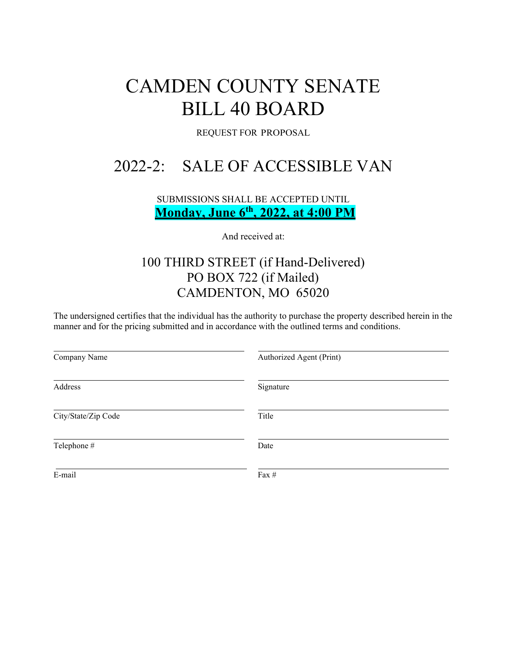# CAMDEN COUNTY SENATE BILL 40 BOARD

REQUEST FOR PROPOSAL

# 2022-2: SALE OF ACCESSIBLE VAN

SUBMISSIONS SHALL BE ACCEPTED UNTIL **Monday, June 6th, 2022, at 4:00 PM**

And received at:

## 100 THIRD STREET (if Hand-Delivered) PO BOX 722 (if Mailed) CAMDENTON, MO 65020

The undersigned certifies that the individual has the authority to purchase the property described herein in the manner and for the pricing submitted and in accordance with the outlined terms and conditions.

| Company Name        | Authorized Agent (Print) |
|---------------------|--------------------------|
| Address             | Signature                |
| City/State/Zip Code | Title                    |
| Telephone #         | Date                     |
| E-mail              | Fax #                    |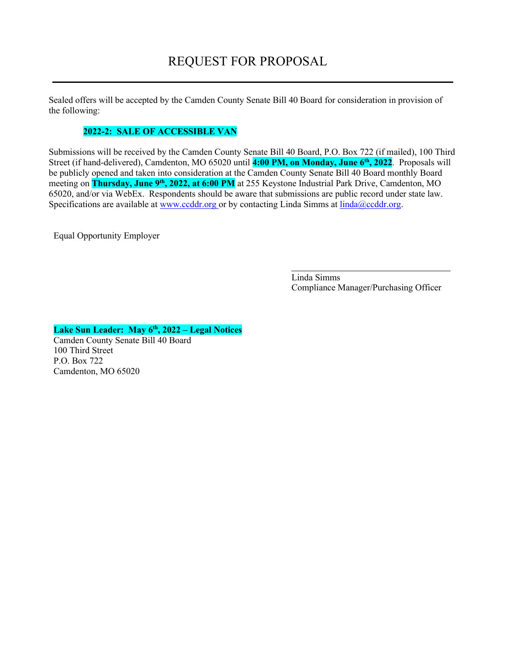Sealed offers will be accepted by the Camden County Senate Bill 40 Board for consideration in provision of the following:

#### **2022-2: SALE OF ACCESSIBLE VAN**

Submissions will be received by the Camden County Senate Bill 40 Board, P.O. Box 722 (if mailed), 100 Third Street (if hand-delivered), Camdenton, MO 65020 until **4:00 PM, on Monday, June 6th, 2022**. Proposals will be publicly opened and taken into consideration at the Camden County Senate Bill 40 Board monthly Board meeting on **Thursday, June 9th, 2022, at 6:00 PM** at 255 Keystone Industrial Park Drive, Camdenton, MO 65020, and/or via WebEx. Respondents should be aware that submissions are public record under state law. Specifications are available at www.ccddr.org or by contacting Linda Simms at  $\frac{linda@ccddr.org}{drq}$ .

Equal Opportunity Employer

Linda Simms Compliance Manager/Purchasing Officer

**Lake Sun Leader: May 6th, 2022 – Legal Notices** Camden County Senate Bill 40 Board

100 Third Street P.O. Box 722 Camdenton, MO 65020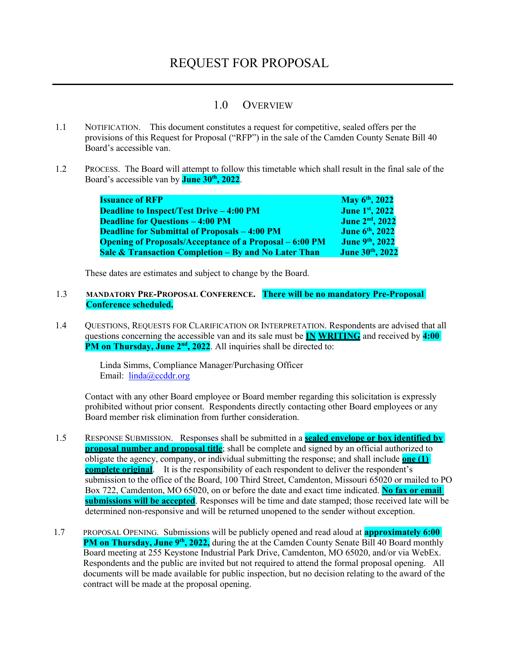#### 1.0 OVERVIEW

- 1.1 NOTIFICATION. This document constitutes a request for competitive, sealed offers per the provisions of this Request for Proposal ("RFP") in the sale of the Camden County Senate Bill 40 Board's accessible van.
- 1.2 PROCESS. The Board will attempt to follow this timetable which shall result in the final sale of the Board's accessible van by **June 30th , 2022**.

| May 6 <sup>th</sup> , 2022  |
|-----------------------------|
| June 1st, 2022              |
| June 2 <sup>nd</sup> , 2022 |
| June 6 <sup>th</sup> , 2022 |
| June 9th, 2022              |
| June 30th, 2022             |
|                             |

These dates are estimates and subject to change by the Board.

#### 1.3 **MANDATORY PRE-PROPOSAL CONFERENCE. There will be no mandatory Pre-Proposal Conference scheduled.**

1.4 QUESTIONS, REQUESTS FOR CLARIFICATION OR INTERPRETATION. Respondents are advised that all questions concerning the accessible van and its sale must be **IN WRITING** and received by **4:00 PM on Thursday, June 2<sup>nd</sup>, 2022**. All inquiries shall be directed to:

> Linda Simms, Compliance Manager/Purchasing Officer Email: [linda@ccddr.org](mailto:linda@ccddr.org)

Contact with any other Board employee or Board member regarding this solicitation is expressly prohibited without prior consent. Respondents directly contacting other Board employees or any Board member risk elimination from further consideration.

- 1.5 RESPONSE SUBMISSION. Responses shall be submitted in a **sealed envelope or box identified by proposal number and proposal title**; shall be complete and signed by an official authorized to obligate the agency, company, or individual submitting the response; and shall include **one (1) complete original**. It is the responsibility of each respondent to deliver the respondent's submission to the office of the Board, 100 Third Street, Camdenton, Missouri 65020 or mailed to PO Box 722, Camdenton, MO 65020, on or before the date and exact time indicated. **No fax or email submissions will be accepted**. Responses will be time and date stamped; those received late will be determined non-responsive and will be returned unopened to the sender without exception.
- 1.7 PROPOSAL OPENING. Submissions will be publicly opened and read aloud at **approximately 6:00 PM on Thursday, June 9<sup>th</sup>, 2022,** during the at the Camden County Senate Bill 40 Board monthly Board meeting at 255 Keystone Industrial Park Drive, Camdenton, MO 65020, and/or via WebEx. Respondents and the public are invited but not required to attend the formal proposal opening. All documents will be made available for public inspection, but no decision relating to the award of the contract will be made at the proposal opening.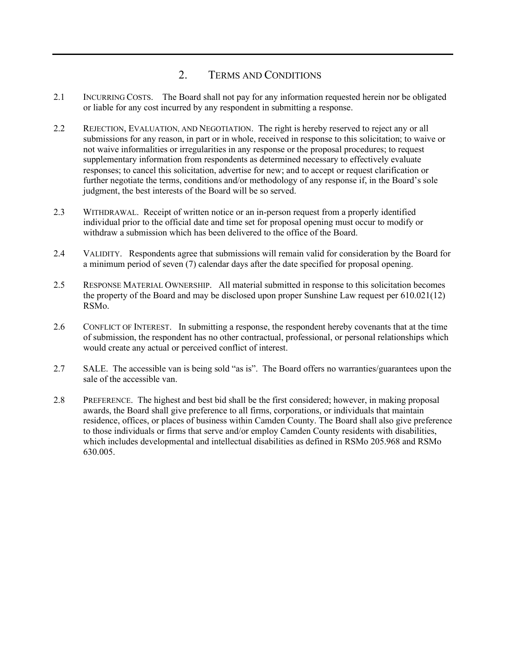#### 2. TERMS AND CONDITIONS

- 2.1 INCURRING COSTS. The Board shall not pay for any information requested herein nor be obligated or liable for any cost incurred by any respondent in submitting a response.
- 2.2 REJECTION, EVALUATION, AND NEGOTIATION. The right is hereby reserved to reject any or all submissions for any reason, in part or in whole, received in response to this solicitation; to waive or not waive informalities or irregularities in any response or the proposal procedures; to request supplementary information from respondents as determined necessary to effectively evaluate responses; to cancel this solicitation, advertise for new; and to accept or request clarification or further negotiate the terms, conditions and/or methodology of any response if, in the Board's sole judgment, the best interests of the Board will be so served.
- 2.3 WITHDRAWAL. Receipt of written notice or an in-person request from a properly identified individual prior to the official date and time set for proposal opening must occur to modify or withdraw a submission which has been delivered to the office of the Board.
- 2.4 VALIDITY. Respondents agree that submissions will remain valid for consideration by the Board for a minimum period of seven (7) calendar days after the date specified for proposal opening.
- 2.5 RESPONSE MATERIAL OWNERSHIP. All material submitted in response to this solicitation becomes the property of the Board and may be disclosed upon proper Sunshine Law request per 610.021(12) RSMo.
- 2.6 CONFLICT OF INTEREST. In submitting a response, the respondent hereby covenants that at the time of submission, the respondent has no other contractual, professional, or personal relationships which would create any actual or perceived conflict of interest.
- 2.7 SALE. The accessible van is being sold "as is". The Board offers no warranties/guarantees upon the sale of the accessible van.
- 2.8 PREFERENCE. The highest and best bid shall be the first considered; however, in making proposal awards, the Board shall give preference to all firms, corporations, or individuals that maintain residence, offices, or places of business within Camden County. The Board shall also give preference to those individuals or firms that serve and/or employ Camden County residents with disabilities, which includes developmental and intellectual disabilities as defined in RSMo 205.968 and RSMo 630.005.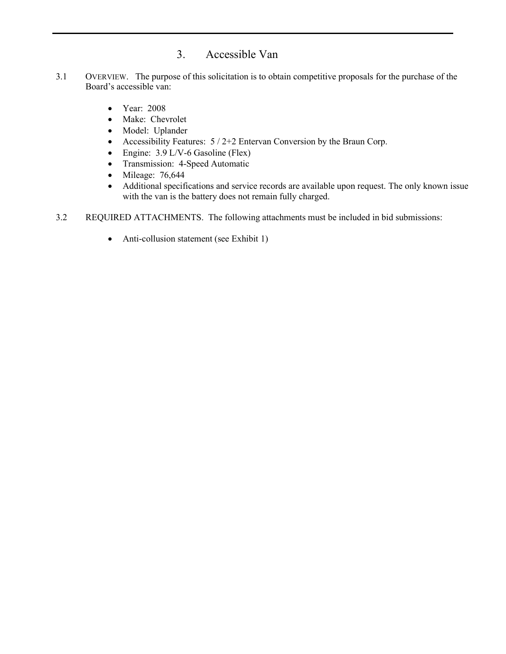#### 3. Accessible Van

- 3.1 OVERVIEW. The purpose of this solicitation is to obtain competitive proposals for the purchase of the Board's accessible van:
	- Year: 2008
	- Make: Chevrolet
	- Model: Uplander
	- Accessibility Features:  $5/2+2$  Entervan Conversion by the Braun Corp.
	- Engine: 3.9 L/V-6 Gasoline (Flex)
	- Transmission: 4-Speed Automatic
	- Mileage: 76,644
	- Additional specifications and service records are available upon request. The only known issue with the van is the battery does not remain fully charged.
- 3.2 REQUIRED ATTACHMENTS. The following attachments must be included in bid submissions:
	- Anti-collusion statement (see Exhibit 1)